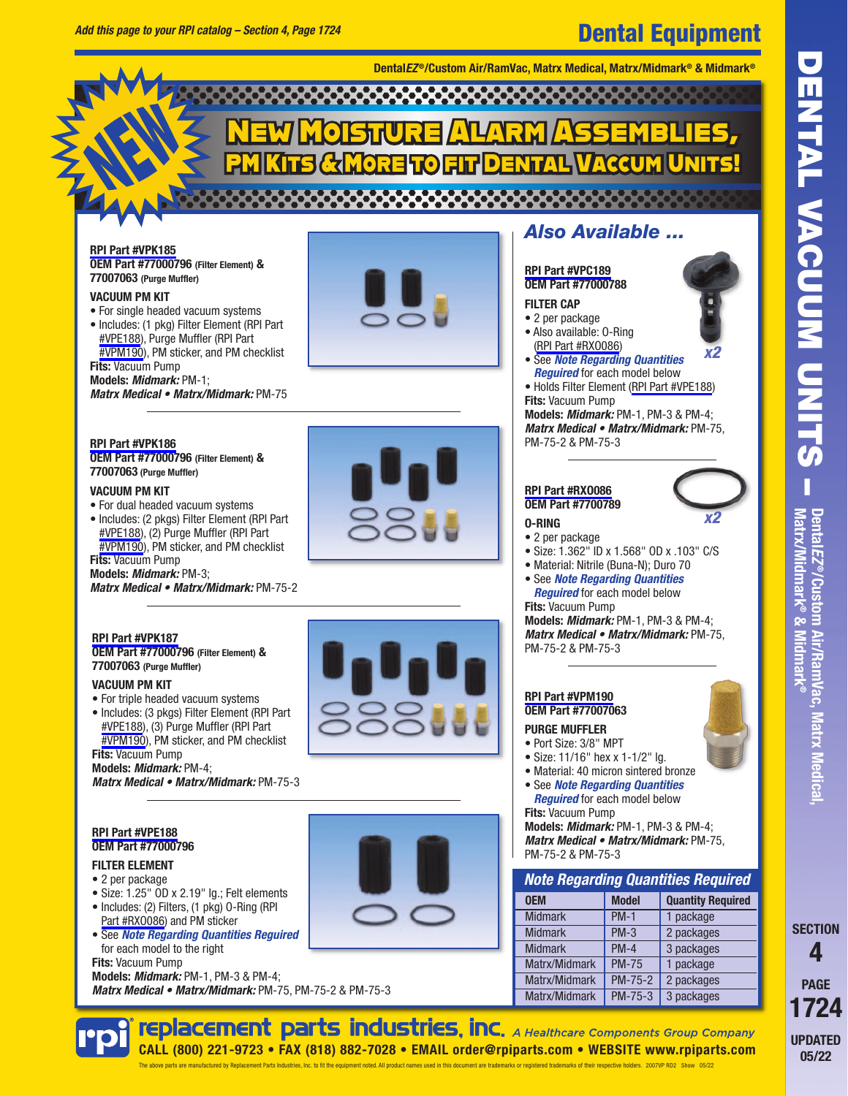# Dental Equipment

**Dental***EZ* **®/Custom Air/RamVac, Matrx Medical, Matrx/Midmark® & Midmark®**

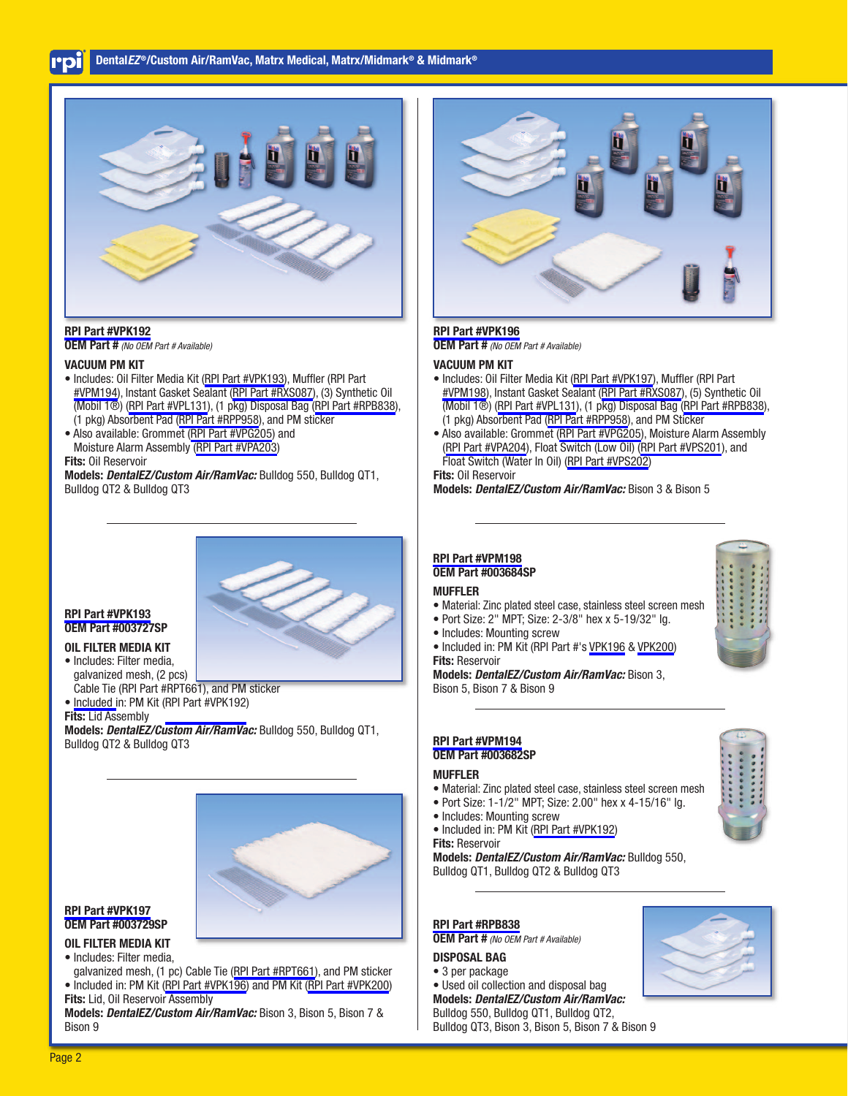# **Dental***EZ* **®/Custom Air/RamVac, Matrx Medical, Matrx/Midmark® & Midmark®**



**[RPI Part #VPK192](https://www.rpiparts.com/RPIPartDetail.aspx?rpinum=VPK192) OEM Part #** (No OEM Part # Available)

#### **VACUUM PM KIT**

- Includes: Oil Filter Media Kit ([RPI Part #VPK193](https://www.rpiparts.com/RPIPartDetail.aspx?rpinum=VPK193)), Muffler (RPI Part [#VPM194\)](https://www.rpiparts.com/RPIPartDetail.aspx?rpinum=VPM194), Instant Gasket Sealant ([RPI Part #RXS087\)](https://www.rpiparts.com/RPIPartDetail.aspx?rpinum=RXS087), (3) Synthetic Oil (Mobil 1®) [\(RPI Part #VPL131\)](https://www.rpiparts.com/RPIPartDetail.aspx?rpinum=VPL131), (1 pkg) Disposal Bag [\(RPI Part #RPB838](https://www.rpiparts.com/RPIPartDetail.aspx?rpinum=RPB838)), (1 pkg) Absorbent Pad [\(RPI Part #RPP958\)](https://www.rpiparts.com/RPIPartDetail.aspx?rpinum=RPP958), and PM sticker
- Also available: Grommet ([RPI Part #VPG205\)](https://www.rpiparts.com/RPIPartDetail.aspx?rpinum=VPG205) and Moisture Alarm Assembly ([RPI Part #VPA203\)](https://www.rpiparts.com/RPIPartDetail.aspx?rpinum=VPA203) **Fits:** Oil Reservoir

**Models:** *DentalEZ/Custom Air/RamVac:* Bulldog 550, Bulldog QT1, Bulldog QT2 & Bulldog QT3

#### **[RPI Part #VPK193](https://www.rpiparts.com/RPIPartDetail.aspx?rpinum=VPK193) OEM Part #003727SP**

# **OIL FILTER MEDIA KIT**

- Includes: Filter media, galvanized mesh, (2 pcs) Cable Tie (RPI Part #RPT661), and PM sticker
- • [Included i](https://www.rpiparts.com/RPIPartDetail.aspx?rpinum=RPT661)n: PM Kit [\(RPI Part #VPK192\)](https://www.rpiparts.com/RPIPartDetail.aspx?rpinum=VPK192)

### **Fits:** Lid Assembly

**Models:** *DentalEZ/Custom Air/RamVac:* Bulldog 550, Bulldog QT1, Bulldog QT2 & Bulldog QT3



#### **[RPI Part #VPK197](https://www.rpiparts.com/RPIPartDetail.aspx?rpinum=VPK197) OEM Part #003729SP**

# **OIL FILTER MEDIA KIT**

• Includes: Filter media,

galvanized mesh, (1 pc) Cable Tie ([RPI Part #RPT661](https://www.rpiparts.com/RPIPartDetail.aspx?rpinum=RPT661)), and PM sticker • Included in: PM Kit [\(RPI Part #VPK196\)](https://www.rpiparts.com/RPIPartDetail.aspx?rpinum=VPK196) and PM Kit [\(RPI Part #VPK200](https://www.rpiparts.com/RPIPartDetail.aspx?rpinum=VPK200)) **Fits:** Lid, Oil Reservoir Assembly

**Models:** *DentalEZ/Custom Air/RamVac:* Bison 3, Bison 5, Bison 7 & Bison 9



# **[RPI Part #VPK196](https://www.rpiparts.com/RPIPartDetail.aspx?rpinum=VPK196)**

**OEM Part #** (No OEM Part # Available)

#### **VACUUM PM KIT**

- Includes: Oil Filter Media Kit [\(RPI Part #VPK197\)](https://www.rpiparts.com/RPIPartDetail.aspx?rpinum=VPK197), Muffler (RPI Part [#VPM198](https://www.rpiparts.com/RPIPartDetail.aspx?rpinum=VPM198)), Instant Gasket Sealant [\(RPI Part #RXS087](https://www.rpiparts.com/RPIPartDetail.aspx?rpinum=RXS087)), (5) Synthetic Oil (Mobil 1®) [\(RPI Part #VPL131](https://www.rpiparts.com/RPIPartDetail.aspx?rpinum=VPL131)), (1 pkg) Disposal Bag ([RPI Part #RPB838\)](https://www.rpiparts.com/RPIPartDetail.aspx?rpinum=RPB838), (1 pkg) Absorbent Pad ([RPI Part #RPP958](https://www.rpiparts.com/RPIPartDetail.aspx?rpinum=RPP958)), and PM Sticker
- Also available: Grommet [\(RPI Part #VPG205\)](https://www.rpiparts.com/RPIPartDetail.aspx?rpinum=VPG205), Moisture Alarm Assembly ([RPI Part #VPA204](https://www.rpiparts.com/RPIPartDetail.aspx?rpinum=VPA204)), Float Switch (Low Oil) ([RPI Part #VPS201](https://www.rpiparts.com/RPIPartDetail.aspx?rpinum=VPS201)), and Float Switch (Water In Oil) ([RPI Part #VPS202](https://www.rpiparts.com/RPIPartDetail.aspx?rpinum=VPS202))

**Fits:** Oil Reservoir

**Models:** *DentalEZ/Custom Air/RamVac:* Bison 3 & Bison 5

# **[RPI Part #VPM198](https://www.rpiparts.com/RPIPartDetail.aspx?rpinum=VPM198) OEM Part #003684SP**

# **MUFFLER**

- Material: Zinc plated steel case, stainless steel screen mesh
- Port Size: 2" MPT; Size: 2-3/8" hex x 5-19/32" lg.

• Includes: Mounting screw • Included in: PM Kit (RPI Part #'s [VPK196](https://www.rpiparts.com/RPIPartDetail.aspx?rpinum=VPK196) & [VPK200\)](https://www.rpiparts.com/RPIPartDetail.aspx?rpinum=VPK200) **Fits:** Reservoir

# **Models:** *DentalEZ/Custom Air/RamVac:* Bison 3,

Bison 5, Bison 7 & Bison 9

# **[RPI Part #VPM194](https://www.rpiparts.com/RPIPartDetail.aspx?rpinum=VPM194) OEM Part #003682SP**

# **MUFFLER**

- Material: Zinc plated steel case, stainless steel screen mesh
- Port Size: 1-1/2" MPT; Size: 2.00" hex x 4-15/16" lg.
- Includes: Mounting screw
- Included in: PM Kit [\(RPI Part #VPK192\)](https://www.rpiparts.com/RPIPartDetail.aspx?rpinum=VPK192)

# **Fits:** Reservoir

**Models:** *DentalEZ/Custom Air/RamVac:* Bulldog 550, Bulldog QT1, Bulldog QT2 & Bulldog QT3

# **[RPI Part #RPB838](https://www.rpiparts.com/RPIPartDetail.aspx?rpinum=RPB838)**

**OEM Part #** (No OEM Part # Available)

## **DISPOSAL BAG**

#### • 3 per package

- Used oil collection and disposal bag
- **Models:** *DentalEZ/Custom Air/RamVac:*

Bulldog 550, Bulldog QT1, Bulldog QT2, Bulldog QT3, Bison 3, Bison 5, Bison 7 & Bison 9



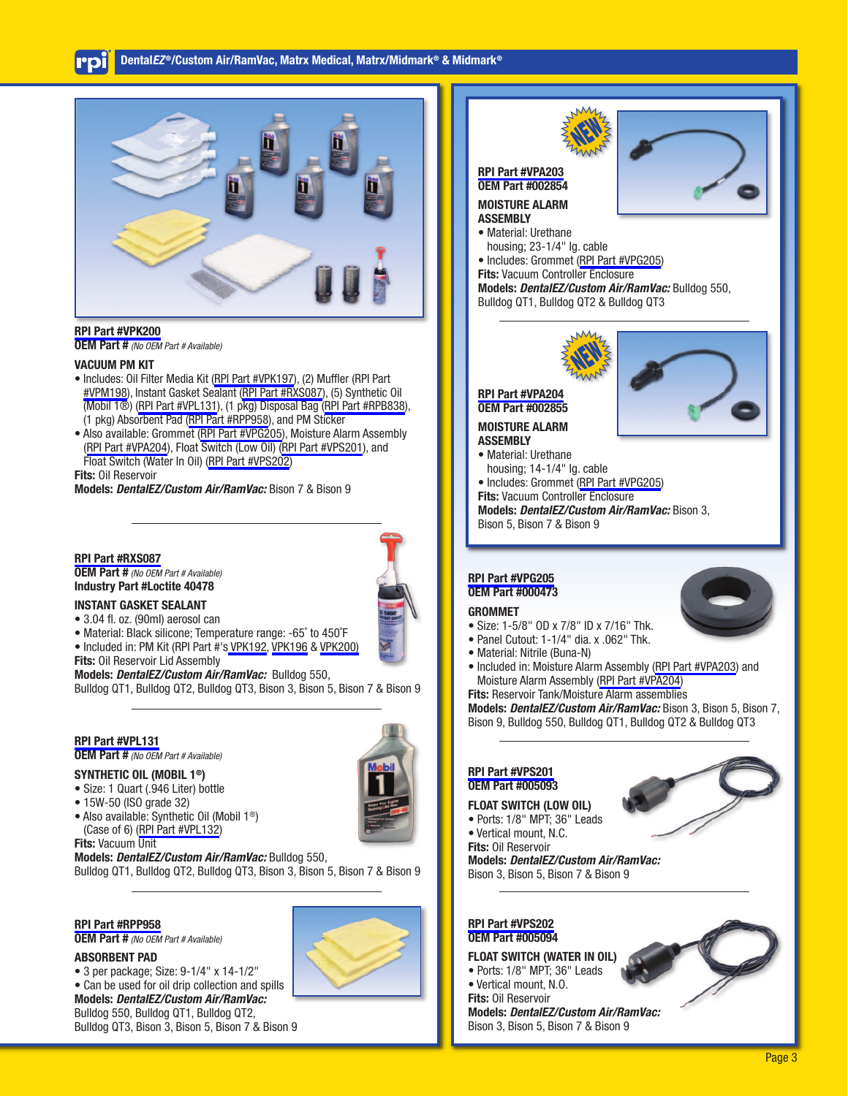

#### **[RPI Part #VPK200](https://www.rpiparts.com/RPIPartDetail.aspx?rpinum=VPK200)**

**OEM Part #** (No OEM Part # Available)

#### **VACUUM PM KIT**

- Includes: Oil Filter Media Kit ([RPI Part #VPK197](https://www.rpiparts.com/RPIPartDetail.aspx?rpinum=VPK197)), (2) Muffler (RPI Part [#VPM198\)](https://www.rpiparts.com/RPIPartDetail.aspx?rpinum=VPM198), Instant Gasket Sealant ([RPI Part #RXS087\)](https://www.rpiparts.com/RPIPartDetail.aspx?rpinum=RXS087), (5) Synthetic Oil (Mobil 1®) [\(RPI Part #VPL131\)](https://www.rpiparts.com/RPIPartDetail.aspx?rpinum=VPL131), (1 pkg) Disposal Bag [\(RPI Part #RPB838](https://www.rpiparts.com/RPIPartDetail.aspx?rpinum=RPB838)), (1 pkg) Absorbent Pad [\(RPI Part #RPP958\)](https://www.rpiparts.com/RPIPartDetail.aspx?rpinum=RPP958), and PM Sticker
- Also available: Grommet ([RPI Part #VPG205\)](https://www.rpiparts.com/RPIPartDetail.aspx?rpinum=VPG205), Moisture Alarm Assembly ([RPI Part #VPA204\)](https://www.rpiparts.com/RPIPartDetail.aspx?rpinum=VPA204), Float Switch (Low Oil) [\(RPI Part #VPS201](https://www.rpiparts.com/RPIPartDetail.aspx?rpinum=VPS201)), and Float Switch (Water In Oil) ([RPI Part #VPS202](https://www.rpiparts.com/RPIPartDetail.aspx?rpinum=VPS202))

**Fits:** Oil Reservoir

#### **Models:** *DentalEZ/Custom Air/RamVac:* Bison 7 & Bison 9

**[RPI Part #RXS087](https://www.rpiparts.com/RPIPartDetail.aspx?rpinum=RXS087) OEM Part #** (No OEM Part # Available) **Industry Part #Loctite 40478**

#### **INSTANT GASKET SEALANT**

- 3.04 fl. oz. (90ml) aerosol can
- Material: Black silicone; Temperature range: -65˚ to 450˚F
- Included in: PM Kit (RPI Part #'s [VPK192,](https://www.rpiparts.com/RPIPartDetail.aspx?rpinum=VPK192) [VPK196](https://www.rpiparts.com/RPIPartDetail.aspx?rpinum=VPK196) & [VPK200\)](https://www.rpiparts.com/RPIPartDetail.aspx?rpinum=VPK200)

**Fits:** Oil Reservoir Lid Assembly

**Models:** *DentalEZ/Custom Air/RamVac:* Bulldog 550, Bulldog QT1, Bulldog QT2, Bulldog QT3, Bison 3, Bison 5, Bison 7 & Bison 9

## **[RPI Part #VPL131](https://www.rpiparts.com/RPIPartDetail.aspx?rpinum=VPL131)**

**OEM Part #** (No OEM Part # Available)

- **SYNTHETIC OIL (MOBIL 1®)**
- Size: 1 Quart (.946 Liter) bottle
- 15W-50 (ISO grade 32)
- Also available: Synthetic Oil (Mobil 1®) (Case of 6) [\(RPI Part #VPL132](https://www.rpiparts.com/RPIPartDetail.aspx?rpinum=VPL132))

#### **Fits:** Vacuum Unit

**Models:** *DentalEZ/Custom Air/RamVac:* Bulldog 550, Bulldog QT1, Bulldog QT2, Bulldog QT3, Bison 3, Bison 5, Bison 7 & Bison 9

#### **[RPI Part #RPP958](https://www.rpiparts.com/RPIPartDetail.aspx?rpinum=RPP958)**

**OEM Part #** (No OEM Part # Available)

#### **ABSORBENT PAD**

- 3 per package; Size: 9-1/4" x 14-1/2"
- Can be used for oil drip collection and spills **Models:** *DentalEZ/Custom Air/RamVac:*  Bulldog 550, Bulldog QT1, Bulldog QT2, Bulldog QT3, Bison 3, Bison 5, Bison 7 & Bison 9





### **[RPI Part #VPS201](https://www.rpiparts.com/RPIPartDetail.aspx?rpinum=VPS201) OEM Part #005093 FLOAT SWITCH (LOW OIL)**

- Ports: 1/8" MPT; 36" Leads
- Vertical mount, N.C.
- **Fits:** Oil Reservoir **Models:** *DentalEZ/Custom Air/RamVac:* Bison 3, Bison 5, Bison 7 & Bison 9



- Ports: 1/8" MPT; 36" Leads
- Vertical mount, N.O.
- **Fits:** Oil Reservoir

**Models:** *DentalEZ/Custom Air/RamVac:* Bison 3, Bison 5, Bison 7 & Bison 9